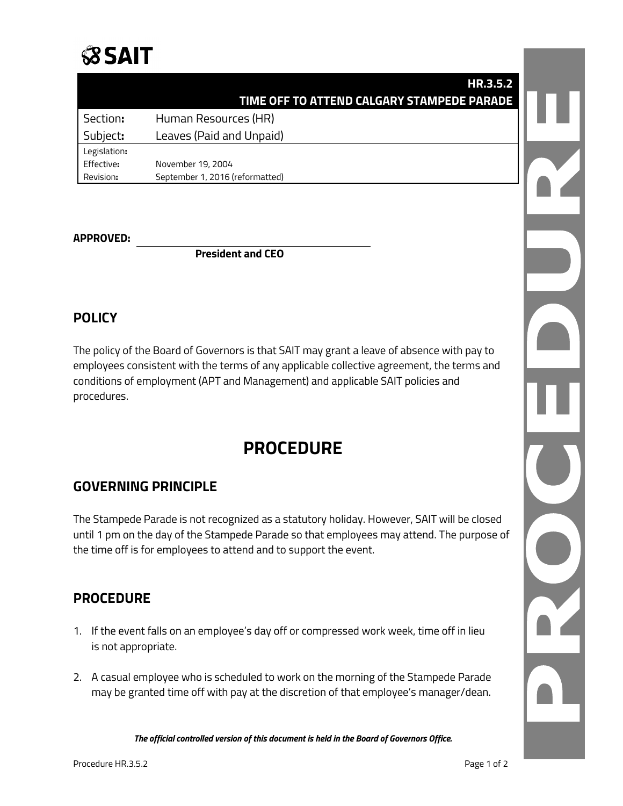

|              | HR.3.5.2                                   |  |
|--------------|--------------------------------------------|--|
|              | TIME OFF TO ATTEND CALGARY STAMPEDE PARADE |  |
| Section:     | Human Resources (HR)                       |  |
| Subject:     | Leaves (Paid and Unpaid)                   |  |
| Legislation: |                                            |  |
| Effective:   | November 19, 2004                          |  |
| Revision:    | September 1, 2016 (reformatted)            |  |

#### **APPROVED:**

**President and CEO**

### **POLICY**

The policy of the Board of Governors is that SAIT may grant a leave of absence with pay to employees consistent with the terms of any applicable collective agreement, the terms and conditions of employment (APT and Management) and applicable SAIT policies and procedures.

# **PROCEDURE**

#### **GOVERNING PRINCIPLE**

The Stampede Parade is not recognized as a statutory holiday. However, SAIT will be closed until 1 pm on the day of the Stampede Parade so that employees may attend. The purpose of the time off is for employees to attend and to support the event.

#### **PROCEDURE**

- 1. If the event falls on an employee's day off or compressed work week, time off in lieu is not appropriate.
- 2. A casual employee who is scheduled to work on the morning of the Stampede Parade may be granted time off with pay at the discretion of that employee's manager/dean.

*The official controlled version of this document is held in the Board of Governors Office.*